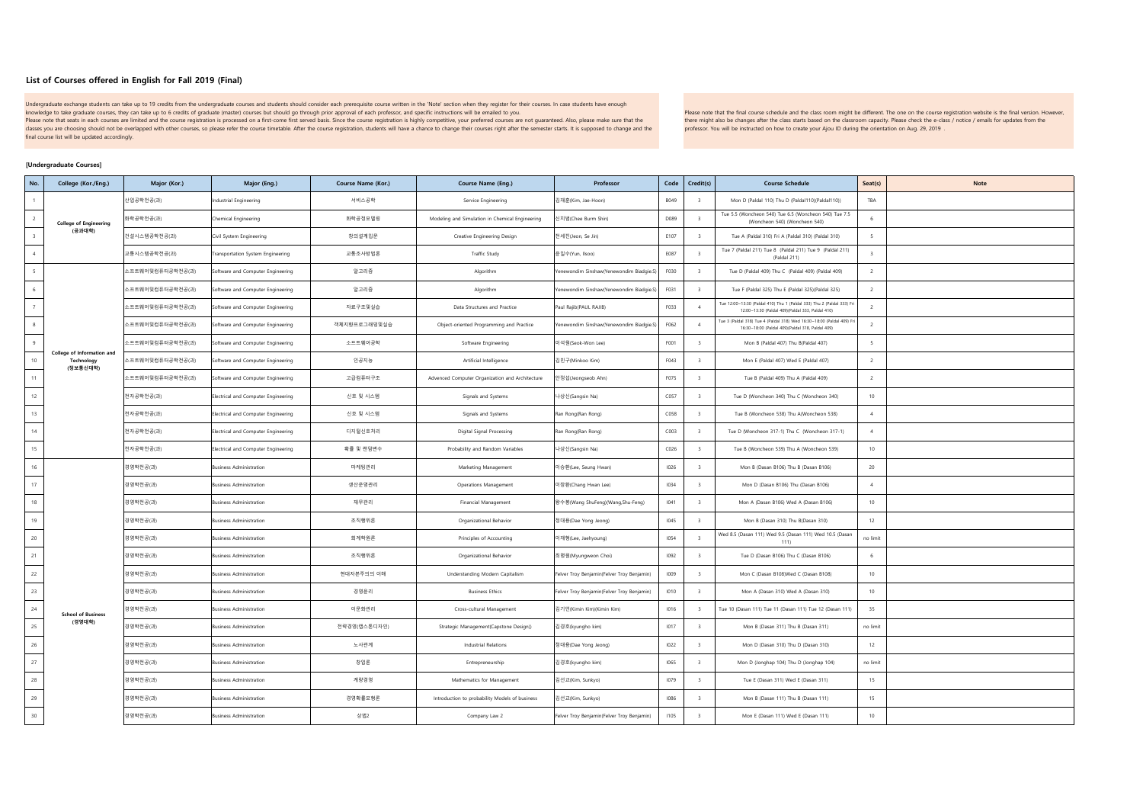## **List of Courses offered in English for Fall 2019 (Final)**

Undergraduate exchange students can take up to 19 credits from the undergraduate courses and students should consider each prerequisite course written in the 'Note' section when they register for their courses. In case stu knowledge to take graduate courses, they can take up to 6 credits of graduate (master) courses but should go through prior approval of each professor, and specific instructions will be emailed to you. Please note that seats in each courses are limited and the course registration is processed on a first-come first served basis. Since the course registration is highly competitive, your preferred courses are not guaranteed

classes you are choosing should not be overlapped with other courses, so please refer the course timetable. After the course registration, students will have a chance to change their courses right after the semester starts final course list will be updated accordingly.

Please note that the final course schedule and the class room might be different. The one on the course registration website is the final version. However, there might also be changes after the class starts based on the classroom capacity. Please check the e-class / notice / emails for updates from the professor. You will be instructed on how to create your Ajou ID during the orientation on Aug. 29, 2019 .

## **[Undergraduate Courses]**

| No.              | College (Kor./Eng.)                                  | Major (Kor.)     | Major (Eng.)                        | Course Name (Kor.) | Course Name (Eng.)                              | Professor                                  | Code | Credit(s)                | <b>Course Schedule</b>                                                                                                      | Seat(s)                  | Note |
|------------------|------------------------------------------------------|------------------|-------------------------------------|--------------------|-------------------------------------------------|--------------------------------------------|------|--------------------------|-----------------------------------------------------------------------------------------------------------------------------|--------------------------|------|
|                  |                                                      | 난업공학전공(과)        | ndustrial Engineering               | 서비스공학              | Service Engineering                             | 김재훈(Kim, Jae-Hoon)                         | B049 |                          | Mon D (Paldal 110) Thu D (Paldal110)(Paldal110))                                                                            | TBA                      |      |
|                  | <b>College of Engineering</b>                        | 화학공학전공(과)        | hemical Engineering                 | 화학공정모델링            | Modeling and Simulation in Chemical Engineering | 신치범(Chee Burm Shin)                        | D089 |                          | Tue 5.5 (Woncheon 540) Tue 6.5 (Woncheon 540) Tue 7.5<br>(Woncheon 540) (Woncheon 540)                                      |                          |      |
|                  | (공과대학)                                               | 건설시스템공학전공(과)     | Civil System Engineering            | 창의설계입문             | Creative Engineering Design                     | 전세진(Jeon, Se Jin)                          | E107 | $\mathbf{R}$             | Tue A (Paldal 310) Fri A (Paldal 310) (Paldal 310)                                                                          | -5                       |      |
|                  |                                                      | 교통시스템공학전공(과)     | Transportation System Engineering   | 교통조사방법론            | Traffic Study                                   | 윤일수(Yun, Ilsoo)                            | E087 | $\overline{\phantom{a}}$ | Tue 7 (Paldal 211) Tue 8 (Paldal 211) Tue 9 (Paldal 211)<br>(Paldal 211)                                                    | $\overline{\phantom{a}}$ |      |
|                  |                                                      | 소프트웨어및컴퓨터공학전공(과) | Software and Computer Engineering   | 알고리즘               | Algorithm                                       | Yenewondim Sinshaw(Yenewondim Biadgie.S)   | F030 | $\overline{\phantom{a}}$ | Tue D (Paldal 409) Thu C (Paldal 409) (Paldal 409)                                                                          | $\overline{2}$           |      |
|                  |                                                      | 소프트웨어및컴퓨터공학전공(과) | Software and Computer Engineering   | 알고리즘               | Algorithm                                       | Yenewondim Sinshaw(Yenewondim Biadgie.S)   | F031 | $\overline{3}$           | Tue F (Paldal 325) Thu E (Paldal 325)(Paldal 325)                                                                           | $\overline{2}$           |      |
|                  |                                                      | 소프트웨어및컴퓨터공학전공(과) | Software and Computer Engineering   | 자료구조및실습            | Data Structures and Practice                    | Paul Rajib(PAUL RAJIB)                     | F033 | $\overline{A}$           | Tue 12:00-13:30 (Paldal 410) Thu 1 (Paldal 333) Thu 2 (Paldal 333) Fr<br>12:00-13:30 (Paldal 409)(Paldal 333, Paldal 410)   | $\overline{2}$           |      |
|                  |                                                      | 소프트웨어및컴퓨터공학전공(과) | ioftware and Computer Engineering   | 객체지향프로그래밍및실습       | Object-oriented Programming and Practice        | Yenewondim Sinshaw(Yenewondim Biadgie.S)   | F062 | $\Lambda$                | Tue 3 (Paldal 318) Tue 4 (Paldal 318) Wed 16:30--18:00 (Paldal 409) Fri<br>16:30~18:00 (Paldal 409)(Paldal 318, Paldal 409) | $\overline{2}$           |      |
| $\mathbf{q}$     |                                                      | 소프트웨어및컴퓨터공학전공(과) | Software and Computer Engineering   | 소프트웨어공학            | Software Engineering                            | 이석원(Seok-Won Lee)                          | F001 | $\overline{3}$           | Mon B (Paldal 407) Thu B(Paldal 407)                                                                                        |                          |      |
| 10 <sub>1</sub>  | College of Information and<br>Technology<br>(정보통신대학) | 소프트웨어및컴퓨터공학전공(과) | oftware and Computer Engineering    | 인공지능               | Artificial Intelligence                         | 김민구(Minkoo Kim)                            | F043 | $\overline{\mathbf{3}}$  | Mon E (Paldal 407) Wed E (Paldal 407)                                                                                       | $\overline{z}$           |      |
| 11               |                                                      | 소프트웨어및컴퓨터공학전공(과) | Software and Computer Engineering   | 고급컴퓨터구조            | Advenced Computer Organization and Architecture | 안정섭(Jeongseob Ahn)                         | F075 | $\overline{3}$           | Tue B (Paldal 409) Thu A (Paldal 409)                                                                                       | $\overline{2}$           |      |
| $12\,$           |                                                      | 전자공학전공(과)        | Electrical and Computer Engineering | 신호 및 시스템           | Signals and Systems                             | 나상신(Sangsin Na)                            | C057 | $\overline{\phantom{a}}$ | Tue D (Woncheon 340) Thu C (Woncheon 340)                                                                                   | 10                       |      |
| 13               |                                                      | 전자공학전공(과)        | Electrical and Computer Engineering | 신호 및 시스템           | Signals and Systems                             | Ran Rong(Ran Rong)                         | C058 | $\overline{\mathbf{3}}$  | Tue B (Woncheon 538) Thu A(Woncheon 538)                                                                                    | $-4$                     |      |
| 14               |                                                      | 전자공학전공(과)        | Electrical and Computer Engineering | 디지털신호처리            | Digital Signal Processing                       | Ran Rong(Ran Rong)                         | COO3 | $\overline{z}$           | Tue D (Woncheon 317-1) Thu C (Woncheon 317-1)                                                                               | $\boldsymbol{A}$         |      |
| 15               |                                                      | 전자공학전공(과)        | Electrical and Computer Engineering | 확률 및 랜덤변수          | Probability and Random Variables                | 나상신(Sangsin Na)                            | CO26 | $\overline{\mathbf{3}}$  | Tue B (Woncheon 539) Thu A (Woncheon 539)                                                                                   | 10                       |      |
| 16               |                                                      | 경영학전공(과)         | <b>Business Administration</b>      | 마케팅관리              | Marketing Management                            | 이승환(Lee, Seung Hwan)                       | 1026 | $\overline{z}$           | Mon B (Dasan B106) Thu B (Dasan B106)                                                                                       | 20                       |      |
| 17               |                                                      | 경영학전공(과)         | Business Administration             | 생산운영관리             | Operations Management                           | 이창환(Chang Hwan Lee)                        | 1034 | $\overline{z}$           | Mon D (Dasan B106) Thu (Dasan B106)                                                                                         | $\boldsymbol{A}$         |      |
| 18               |                                                      | 경영학전공(과)         | Business Administration             | 재무관리               | Financial Management                            | 왕수봉(Wang ShuFeng)(Wang,Shu-Feng)           | 1041 | в.                       | Mon A (Dasan B106) Wed A (Dasan B106)                                                                                       | 10                       |      |
| 19               |                                                      | 경영학전공(과)         | susiness Administration             | 조직행위론              | Organizational Behavior                         | 정대용(Dae Yong Jeong)                        | 1045 |                          | Mon B (Dasan 310) Thu B(Dasan 310)                                                                                          | 12                       |      |
| 20               |                                                      | 경영학전공(과)         | Business Administration             | 회계학원론              | Principles of Accounting                        | 이재형(Lee, Jaehyoung)                        | 1054 |                          | Wed 8.5 (Dasan 111) Wed 9.5 (Dasan 111) Wed 10.5 (Dasan<br>111)                                                             | no limit                 |      |
| 21               |                                                      | 경영학전공(과)         | Business Administration             | 조직행위론              | Organizational Behavior                         | 최명원(Myungweon Choi)                        | 1092 | $\overline{3}$           | Tue D (Dasan B106) Thu C (Dasan B106)                                                                                       | 6                        |      |
| $22\,$           |                                                      | 경영학전공(과)         | <b>Business Administration</b>      | 현대자본주의의 이해         | Understanding Modern Capitalism                 | Felver Troy Benjamin(Felver Troy Benjamin) | 1009 | $\overline{3}$           | Mon C (Dasan B108)Wed C (Dasan B108)                                                                                        | 10                       |      |
| 23               |                                                      | 경영학전공(과)         | <b>Business Administration</b>      | 경영윤리               | <b>Business Ethics</b>                          | Felver Troy Benjamin(Felver Troy Benjamin) | 1010 | $\overline{\phantom{a}}$ | Mon A (Dasan 310) Wed A (Dasan 310)                                                                                         | 10                       |      |
| $\mathbf{^{24}}$ | <b>School of Business</b>                            | 경영학전공(과)         | susiness Administration             | 이문화관리              | Cross-cultural Management                       | 김기민(Kimin Kim)(Kimin Kim)                  | 1016 |                          | Tue 10 (Dasan 111) Tue 11 (Dasan 111) Tue 12 (Dasan 111)                                                                    | 35                       |      |
| 25               | (경영대학)                                               | 경영학전공(과)         | susiness Administration             | 전략경영(캡스톤디자인)       | Strategic Management(Capstone Design))          | 김경호(kyungho kim)                           | 1017 |                          | Mon B (Dasan 311) Thu B (Dasan 311)                                                                                         | no limit                 |      |
| $26\,$           |                                                      | 경영학전공(과)         | Business Administration             | 노사관계               | <b>Industrial Relations</b>                     | 정대용(Dae Yong Jeong)                        | 1022 | $\overline{\mathbf{3}}$  | Mon D (Dasan 310) Thu D (Dasan 310)                                                                                         | 12                       |      |
| 27               |                                                      | 경영학전공(과)         | <b>Business Administration</b>      | 창업론                | Entrepreneurship                                | 김경호(kyungho kim)                           | 1065 | $\overline{z}$           | Mon D (Jonghap 104) Thu D (Jonghap 104)                                                                                     | no limit                 |      |
| 28               |                                                      | 경영학전공(과)         | susiness Administration             | 계량경영               | Mathematics for Management                      | 김선교(Kim, Sunkyo)                           | 1079 | $\overline{3}$           | Tue E (Dasan 311) Wed E (Dasan 311)                                                                                         | 15                       |      |
| 29               |                                                      | 경영학전공(과)         | susiness Administration             | 경영확률모형론            | Introduction to probability Models of business  | 김선교(Kim, Sunkyo)                           | 1086 | 3                        | Mon B (Dasan 111) Thu B (Dasan 111)                                                                                         | 15                       |      |
| 30               |                                                      | 경영학전공(과)         | susiness Administration             | 상법2                | Company Law 2                                   | Felver Troy Benjamin(Felver Troy Benjamin) | 1105 |                          | Mon E (Dasan 111) Wed E (Dasan 111)                                                                                         | $10 -$                   |      |